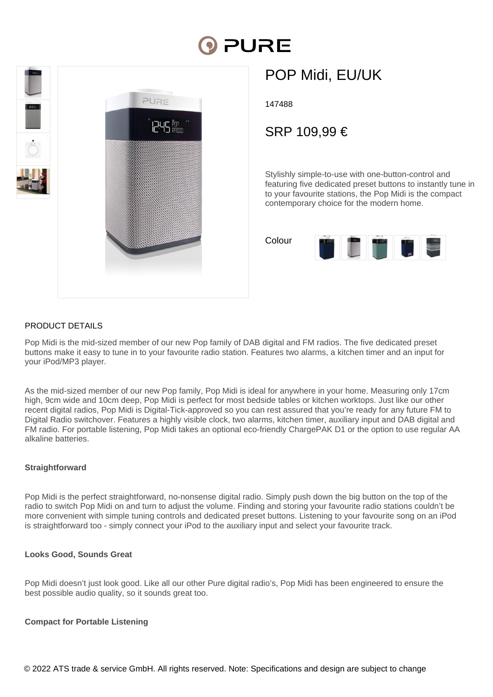# PURE



## POP Midi, EU/UK

147488

### SRP 109,99 €

Stylishly simple-to-use with one-button-control and featuring five dedicated preset buttons to instantly tune in to your favourite stations, the Pop Midi is the compact contemporary choice for the modern home.

| Colour | 86% |   |  |
|--------|-----|---|--|
|        |     | œ |  |

#### PRODUCT DETAILS

Pop Midi is the mid-sized member of our new Pop family of DAB digital and FM radios. The five dedicated preset buttons make it easy to tune in to your favourite radio station. Features two alarms, a kitchen timer and an input for your iPod/MP3 player.

As the mid-sized member of our new Pop family, Pop Midi is ideal for anywhere in your home. Measuring only 17cm high, 9cm wide and 10cm deep, Pop Midi is perfect for most bedside tables or kitchen worktops. Just like our other recent digital radios, Pop Midi is Digital-Tick-approved so you can rest assured that you're ready for any future FM to Digital Radio switchover. Features a highly visible clock, two alarms, kitchen timer, auxiliary input and DAB digital and FM radio. For portable listening, Pop Midi takes an optional eco-friendly ChargePAK D1 or the option to use regular AA alkaline batteries.

#### **Straightforward**

Pop Midi is the perfect straightforward, no-nonsense digital radio. Simply push down the big button on the top of the radio to switch Pop Midi on and turn to adjust the volume. Finding and storing your favourite radio stations couldn't be more convenient with simple tuning controls and dedicated preset buttons. Listening to your favourite song on an iPod is straightforward too - simply connect your iPod to the auxiliary input and select your favourite track.

#### **Looks Good, Sounds Great**

Pop Midi doesn't just look good. Like all our other Pure digital radio's, Pop Midi has been engineered to ensure the best possible audio quality, so it sounds great too.

#### **Compact for Portable Listening**